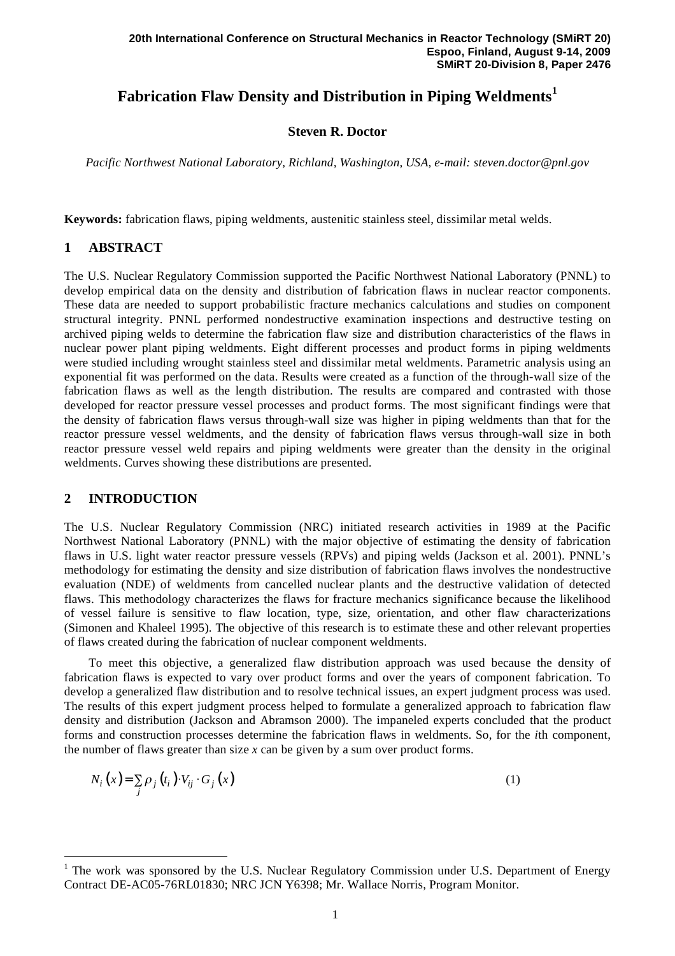# **Fabrication Flaw Density and Distribution in Piping Weldments<sup>1</sup>**

# **Steven R. Doctor**

*Pacific Northwest National Laboratory, Richland, Washington, USA, e-mail: steven.doctor@pnl.gov*

**Keywords:** fabrication flaws, piping weldments, austenitic stainless steel, dissimilar metal welds.

# **1 ABSTRACT**

The U.S. Nuclear Regulatory Commission supported the Pacific Northwest National Laboratory (PNNL) to develop empirical data on the density and distribution of fabrication flaws in nuclear reactor components. These data are needed to support probabilistic fracture mechanics calculations and studies on component structural integrity. PNNL performed nondestructive examination inspections and destructive testing on archived piping welds to determine the fabrication flaw size and distribution characteristics of the flaws in nuclear power plant piping weldments. Eight different processes and product forms in piping weldments were studied including wrought stainless steel and dissimilar metal weldments. Parametric analysis using an exponential fit was performed on the data. Results were created as a function of the through-wall size of the fabrication flaws as well as the length distribution. The results are compared and contrasted with those developed for reactor pressure vessel processes and product forms. The most significant findings were that the density of fabrication flaws versus through-wall size was higher in piping weldments than that for the reactor pressure vessel weldments, and the density of fabrication flaws versus through-wall size in both reactor pressure vessel weld repairs and piping weldments were greater than the density in the original weldments. Curves showing these distributions are presented.

# **2 INTRODUCTION**

The U.S. Nuclear Regulatory Commission (NRC) initiated research activities in 1989 at the Pacific Northwest National Laboratory (PNNL) with the major objective of estimating the density of fabrication flaws in U.S. light water reactor pressure vessels (RPVs) and piping welds (Jackson et al. 2001). PNNL's methodology for estimating the density and size distribution of fabrication flaws involves the nondestructive evaluation (NDE) of weldments from cancelled nuclear plants and the destructive validation of detected flaws. This methodology characterizes the flaws for fracture mechanics significance because the likelihood of vessel failure is sensitive to flaw location, type, size, orientation, and other flaw characterizations (Simonen and Khaleel 1995). The objective of this research is to estimate these and other relevant properties of flaws created during the fabrication of nuclear component weldments.

To meet this objective, a generalized flaw distribution approach was used because the density of fabrication flaws is expected to vary over product forms and over the years of component fabrication. To develop a generalized flaw distribution and to resolve technical issues, an expert judgment process was used. The results of this expert judgment process helped to formulate a generalized approach to fabrication flaw density and distribution (Jackson and Abramson 2000). The impaneled experts concluded that the product forms and construction processes determine the fabrication flaws in weldments. So, for the *i*th component, the number of flaws greater than size *x* can be given by a sum over product forms.

$$
N_i(x) = \sum_j \rho_j(t_i) \cdot V_{ij} \cdot G_j(x)
$$
 (1)

<sup>&</sup>lt;sup>1</sup> The work was sponsored by the U.S. Nuclear Regulatory Commission under U.S. Department of Energy Contract DE-AC05-76RL01830; NRC JCN Y6398; Mr. Wallace Norris, Program Monitor.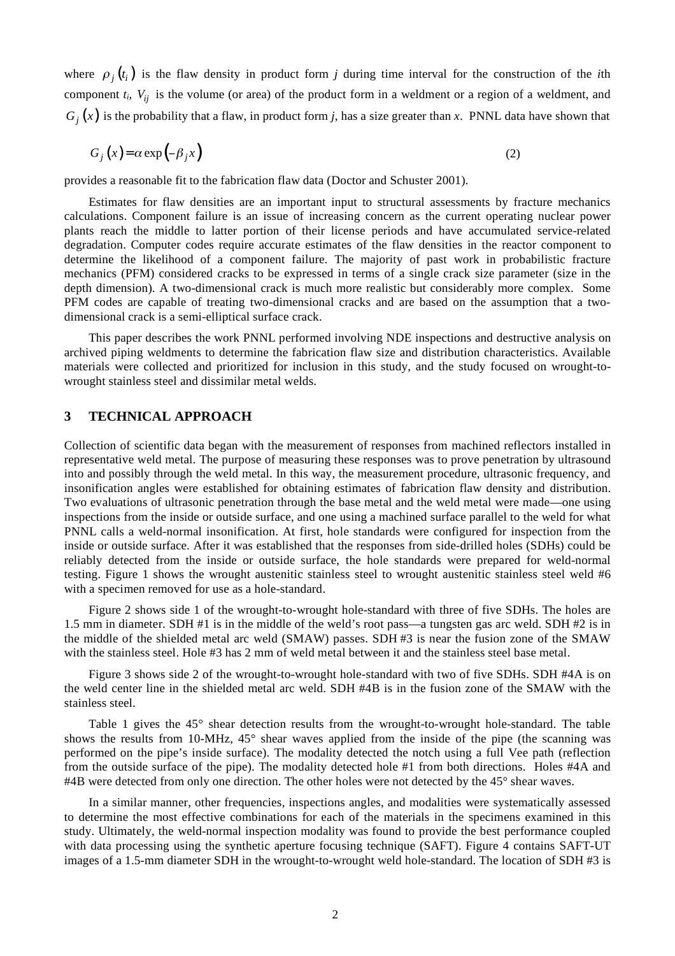where  $\rho_j(t_i)$  is the flaw density in product form *j* during time interval for the construction of the *i*th component  $t_i$ ,  $V_{ij}$  is the volume (or area) of the product form in a weldment or a region of a weldment, and  $G_j(x)$  is the probability that a flaw, in product form *j*, has a size greater than *x*. PNNL data have shown that

$$
G_j(x) = \alpha \exp(-\beta_j x) \tag{2}
$$

provides a reasonable fit to the fabrication flaw data (Doctor and Schuster 2001).

Estimates for flaw densities are an important input to structural assessments by fracture mechanics calculations. Component failure is an issue of increasing concern as the current operating nuclear power plants reach the middle to latter portion of their license periods and have accumulated service-related degradation. Computer codes require accurate estimates of the flaw densities in the reactor component to determine the likelihood of a component failure. The majority of past work in probabilistic fracture mechanics (PFM) considered cracks to be expressed in terms of a single crack size parameter (size in the depth dimension). A two-dimensional crack is much more realistic but considerably more complex. Some PFM codes are capable of treating two-dimensional cracks and are based on the assumption that a twodimensional crack is a semi-elliptical surface crack.

This paper describes the work PNNL performed involving NDE inspections and destructive analysis on archived piping weldments to determine the fabrication flaw size and distribution characteristics. Available materials were collected and prioritized for inclusion in this study, and the study focused on wrought-towrought stainless steel and dissimilar metal welds.

# **3 TECHNICAL APPROACH**

Collection of scientific data began with the measurement of responses from machined reflectors installed in representative weld metal. The purpose of measuring these responses was to prove penetration by ultrasound into and possibly through the weld metal. In this way, the measurement procedure, ultrasonic frequency, and insonification angles were established for obtaining estimates of fabrication flaw density and distribution. Two evaluations of ultrasonic penetration through the base metal and the weld metal were made—one using inspections from the inside or outside surface, and one using a machined surface parallel to the weld for what PNNL calls a weld-normal insonification. At first, hole standards were configured for inspection from the inside or outside surface. After it was established that the responses from side-drilled holes (SDHs) could be reliably detected from the inside or outside surface, the hole standards were prepared for weld-normal testing. Figure 1 shows the wrought austenitic stainless steel to wrought austenitic stainless steel weld #6 with a specimen removed for use as a hole-standard.

Figure 2 shows side 1 of the wrought-to-wrought hole-standard with three of five SDHs. The holes are 1.5 mm in diameter. SDH #1 is in the middle of the weld's root pass—a tungsten gas arc weld. SDH #2 is in the middle of the shielded metal arc weld (SMAW) passes. SDH #3 is near the fusion zone of the SMAW with the stainless steel. Hole #3 has 2 mm of weld metal between it and the stainless steel base metal.

Figure 3 shows side 2 of the wrought-to-wrought hole-standard with two of five SDHs. SDH #4A is on the weld center line in the shielded metal arc weld. SDH #4B is in the fusion zone of the SMAW with the stainless steel.

Table 1 gives the 45° shear detection results from the wrought-to-wrought hole-standard. The table shows the results from 10-MHz, 45° shear waves applied from the inside of the pipe (the scanning was performed on the pipe's inside surface). The modality detected the notch using a full Vee path (reflection from the outside surface of the pipe). The modality detected hole #1 from both directions. Holes #4A and #4B were detected from only one direction. The other holes were not detected by the 45° shear waves.

In a similar manner, other frequencies, inspections angles, and modalities were systematically assessed to determine the most effective combinations for each of the materials in the specimens examined in this study. Ultimately, the weld-normal inspection modality was found to provide the best performance coupled with data processing using the synthetic aperture focusing technique (SAFT). Figure 4 contains SAFT-UT images of a 1.5-mm diameter SDH in the wrought-to-wrought weld hole-standard. The location of SDH #3 is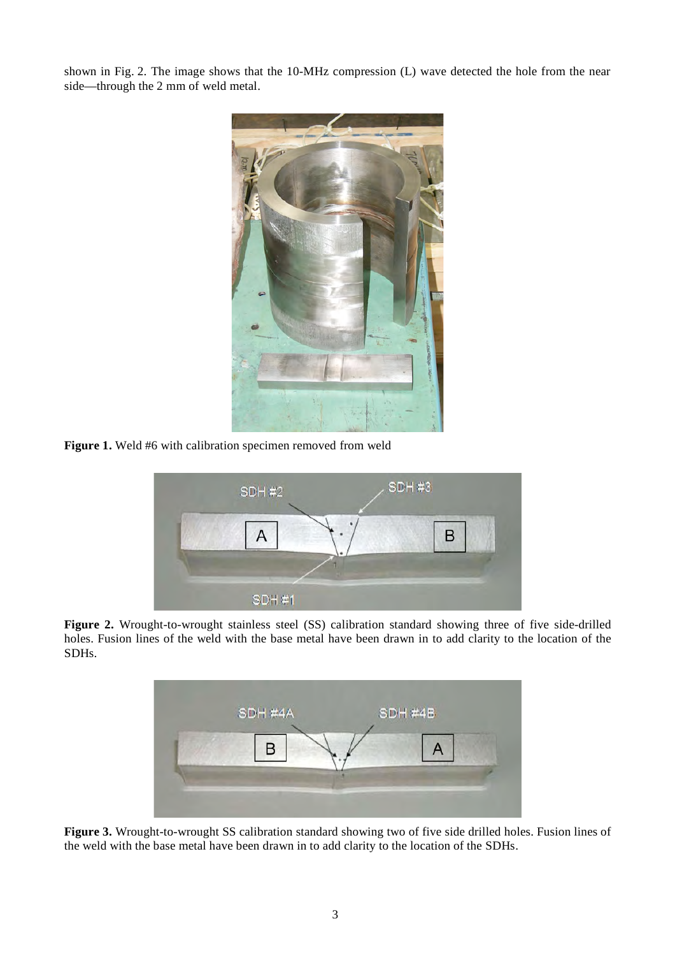shown in Fig. 2. The image shows that the 10-MHz compression (L) wave detected the hole from the near side—through the 2 mm of weld metal.



Figure 1. Weld #6 with calibration specimen removed from weld



**Figure 2.** Wrought-to-wrought stainless steel (SS) calibration standard showing three of five side-drilled holes. Fusion lines of the weld with the base metal have been drawn in to add clarity to the location of the SDHs.



**Figure 3.** Wrought-to-wrought SS calibration standard showing two of five side drilled holes. Fusion lines of the weld with the base metal have been drawn in to add clarity to the location of the SDHs.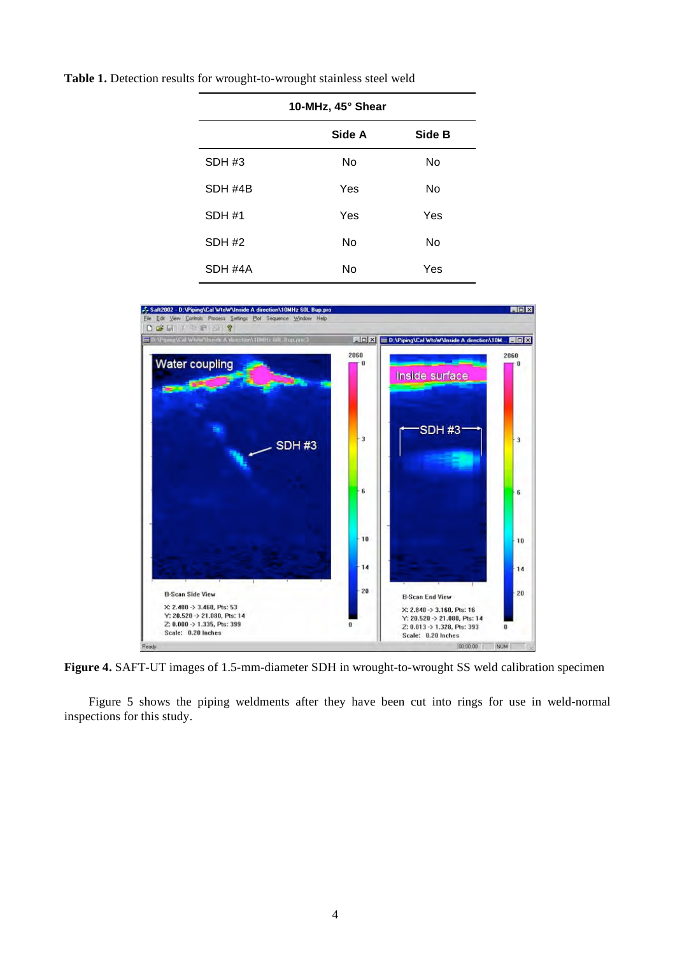|         | 10-MHz, 45° Shear |           |
|---------|-------------------|-----------|
|         | Side A            | Side B    |
| SDH #3  | No                | No        |
| SDH #4B | Yes               | <b>No</b> |
| SDH #1  | Yes               | Yes       |
| SDH #2  | Nο                | No        |
| SDH #4A | No                | Yes       |

Table 1. Detection results for wrought-to-wrought stainless steel weld



**Figure 4.** SAFT-UT images of 1.5-mm-diameter SDH in wrought-to-wrought SS weld calibration specimen

Figure 5 shows the piping weldments after they have been cut into rings for use in weld-normal inspections for this study.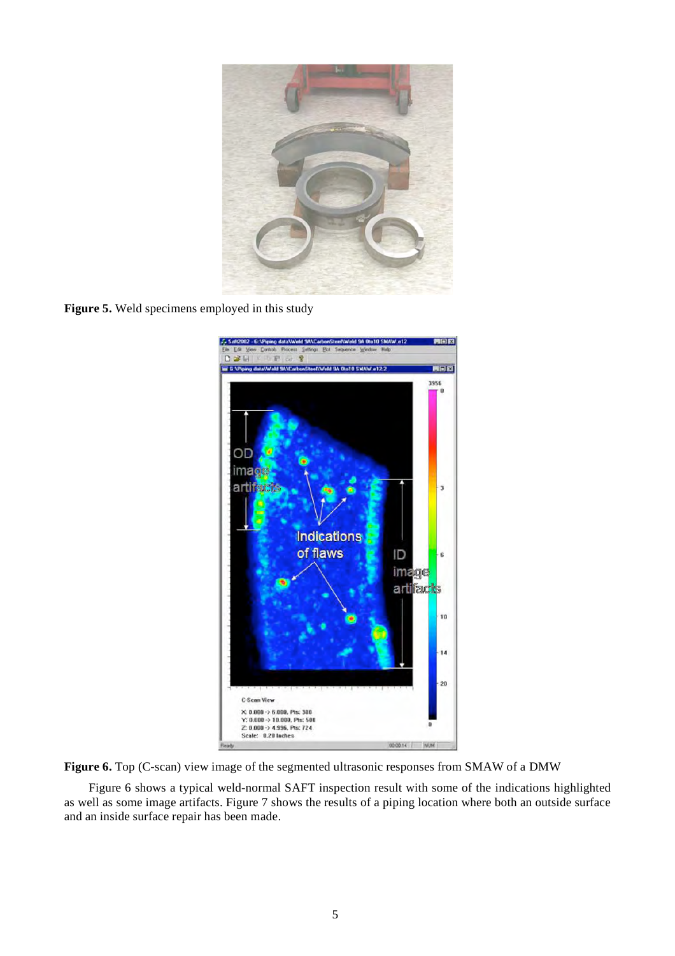

Figure 5. Weld specimens employed in this study



Figure 6. Top (C-scan) view image of the segmented ultrasonic responses from SMAW of a DMW

Figure 6 shows a typical weld-normal SAFT inspection result with some of the indications highlighted as well as some image artifacts. Figure 7 shows the results of a piping location where both an outside surface and an inside surface repair has been made.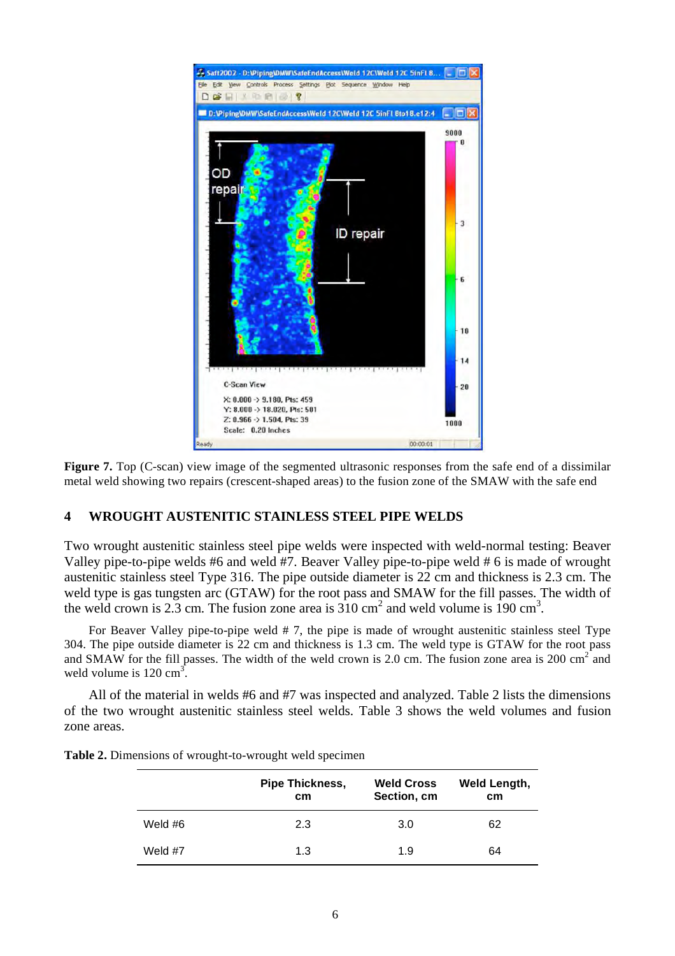

**Figure 7.** Top (C-scan) view image of the segmented ultrasonic responses from the safe end of a dissimilar metal weld showing two repairs (crescent-shaped areas) to the fusion zone of the SMAW with the safe end

# **4 WROUGHT AUSTENITIC STAINLESS STEEL PIPE WELDS**

Two wrought austenitic stainless steel pipe welds were inspected with weld-normal testing: Beaver Valley pipe-to-pipe welds #6 and weld #7. Beaver Valley pipe-to-pipe weld # 6 is made of wrought austenitic stainless steel Type 316. The pipe outside diameter is 22 cm and thickness is 2.3 cm. The weld type is gas tungsten arc (GTAW) for the root pass and SMAW for the fill passes. The width of the weld crown is 2.3 cm. The fusion zone area is  $310 \text{ cm}^2$  and weld volume is 190 cm<sup>3</sup>.

For Beaver Valley pipe-to-pipe weld # 7, the pipe is made of wrought austenitic stainless steel Type 304. The pipe outside diameter is 22 cm and thickness is 1.3 cm. The weld type is GTAW for the root pass and SMAW for the fill passes. The width of the weld crown is 2.0 cm. The fusion zone area is 200 cm<sup>2</sup> and weld volume is  $120 \text{ cm}^3$ .

All of the material in welds #6 and #7 was inspected and analyzed. Table 2 lists the dimensions of the two wrought austenitic stainless steel welds. Table 3 shows the weld volumes and fusion zone areas.

|         | <b>Pipe Thickness,</b><br><b>cm</b> | <b>Weld Cross</b><br>Section, cm | Weld Length,<br><b>cm</b> |
|---------|-------------------------------------|----------------------------------|---------------------------|
| Weld #6 | 2.3                                 | 3.0                              | 62                        |
| Weld #7 | 1.3                                 | 1.9                              | 64                        |

**Table 2.** Dimensions of wrought-to-wrought weld specimen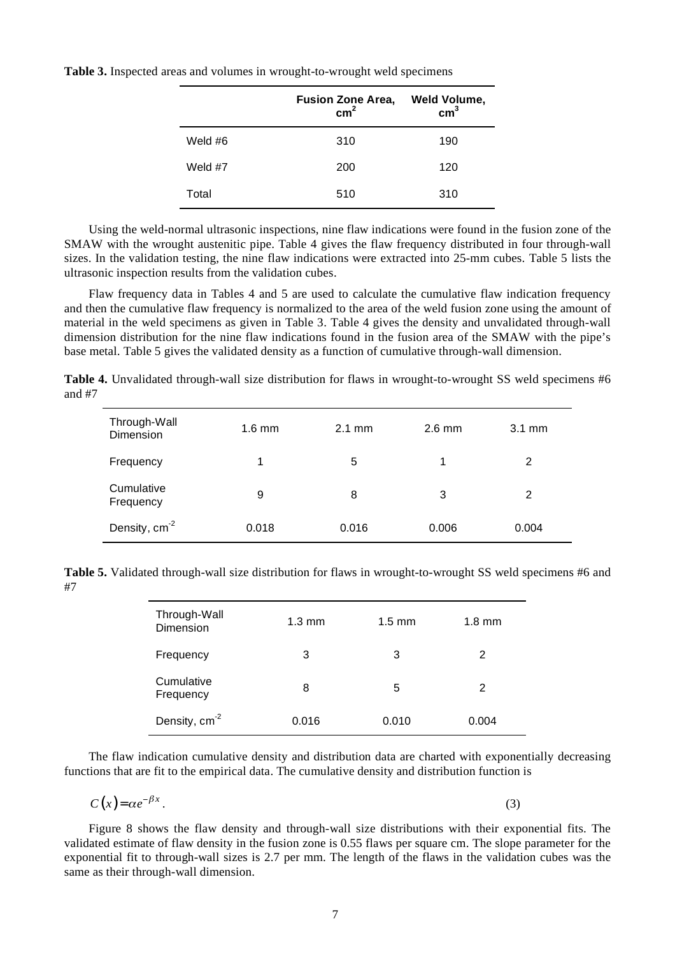|  |  | Table 3. Inspected areas and volumes in wrought-to-wrought weld specimens |  |
|--|--|---------------------------------------------------------------------------|--|
|  |  |                                                                           |  |

|         | <b>Fusion Zone Area,</b><br>cm <sup>2</sup> | <b>Weld Volume,</b><br>cm <sup>3</sup> |
|---------|---------------------------------------------|----------------------------------------|
| Weld #6 | 310                                         | 190                                    |
| Weld #7 | 200                                         | 120                                    |
| Total   | 510                                         | 310                                    |

Using the weld-normal ultrasonic inspections, nine flaw indications were found in the fusion zone of the SMAW with the wrought austenitic pipe. Table 4 gives the flaw frequency distributed in four through-wall sizes. In the validation testing, the nine flaw indications were extracted into 25-mm cubes. Table 5 lists the ultrasonic inspection results from the validation cubes.

Flaw frequency data in Tables 4 and 5 are used to calculate the cumulative flaw indication frequency and then the cumulative flaw frequency is normalized to the area of the weld fusion zone using the amount of material in the weld specimens as given in Table 3. Table 4 gives the density and unvalidated through-wall dimension distribution for the nine flaw indications found in the fusion area of the SMAW with the pipe's base metal. Table 5 gives the validated density as a function of cumulative through-wall dimension.

**Table 4.** Unvalidated through-wall size distribution for flaws in wrought-to-wrought SS weld specimens #6 and #7

| Through-Wall<br>Dimension | $1.6$ mm | $2.1 \text{ mm}$ | $2.6$ mm | $3.1 \text{ mm}$ |
|---------------------------|----------|------------------|----------|------------------|
| Frequency                 |          | 5                | 1        | 2                |
| Cumulative<br>Frequency   | 9        | 8                | 3        | 2                |
| Density, cm <sup>-2</sup> | 0.018    | 0.016            | 0.006    | 0.004            |

**Table 5.** Validated through-wall size distribution for flaws in wrought-to-wrought SS weld specimens #6 and #7

| Through-Wall<br>Dimension | $1.3 \text{ mm}$ | $1.5 \text{ mm}$ | $1.8 \text{ mm}$ |
|---------------------------|------------------|------------------|------------------|
| Frequency                 | 3                | 3                | 2                |
| Cumulative<br>Frequency   | 8                | 5                | 2                |
| Density, cm <sup>-2</sup> | 0.016            | 0.010            | 0.004            |

The flaw indication cumulative density and distribution data are charted with exponentially decreasing functions that are fit to the empirical data. The cumulative density and distribution function is

$$
C(x) = \alpha e^{-\beta x}.
$$
 (3)

Figure 8 shows the flaw density and through-wall size distributions with their exponential fits. The validated estimate of flaw density in the fusion zone is 0.55 flaws per square cm. The slope parameter for the exponential fit to through-wall sizes is 2.7 per mm. The length of the flaws in the validation cubes was the same as their through-wall dimension.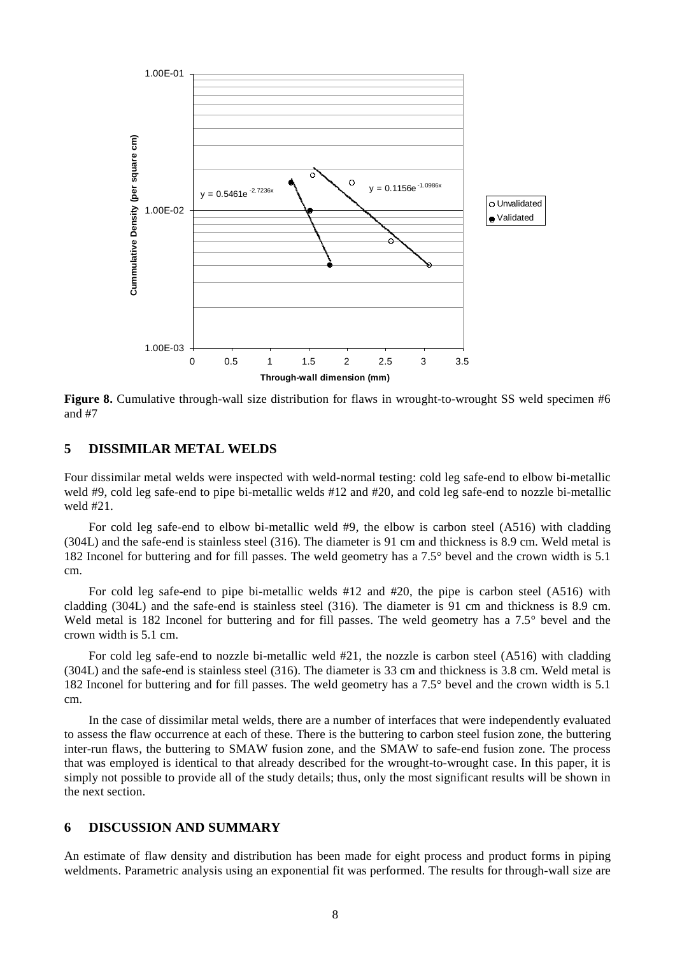

**Figure 8.** Cumulative through-wall size distribution for flaws in wrought-to-wrought SS weld specimen #6 and #7

#### **5 DISSIMILAR METAL WELDS**

Four dissimilar metal welds were inspected with weld-normal testing: cold leg safe-end to elbow bi-metallic weld #9, cold leg safe-end to pipe bi-metallic welds #12 and #20, and cold leg safe-end to nozzle bi-metallic weld #21.

For cold leg safe-end to elbow bi-metallic weld #9, the elbow is carbon steel (A516) with cladding (304L) and the safe-end is stainless steel (316). The diameter is 91 cm and thickness is 8.9 cm. Weld metal is 182 Inconel for buttering and for fill passes. The weld geometry has a 7.5° bevel and the crown width is 5.1 cm.

For cold leg safe-end to pipe bi-metallic welds #12 and #20, the pipe is carbon steel (A516) with cladding (304L) and the safe-end is stainless steel (316). The diameter is 91 cm and thickness is 8.9 cm. Weld metal is 182 Inconel for buttering and for fill passes. The weld geometry has a 7.5° bevel and the crown width is 5.1 cm.

For cold leg safe-end to nozzle bi-metallic weld #21, the nozzle is carbon steel (A516) with cladding (304L) and the safe-end is stainless steel (316). The diameter is 33 cm and thickness is 3.8 cm. Weld metal is 182 Inconel for buttering and for fill passes. The weld geometry has a 7.5° bevel and the crown width is 5.1 cm.

In the case of dissimilar metal welds, there are a number of interfaces that were independently evaluated to assess the flaw occurrence at each of these. There is the buttering to carbon steel fusion zone, the buttering inter-run flaws, the buttering to SMAW fusion zone, and the SMAW to safe-end fusion zone. The process that was employed is identical to that already described for the wrought-to-wrought case. In this paper, it is simply not possible to provide all of the study details; thus, only the most significant results will be shown in the next section.

#### **6 DISCUSSION AND SUMMARY**

An estimate of flaw density and distribution has been made for eight process and product forms in piping weldments. Parametric analysis using an exponential fit was performed. The results for through-wall size are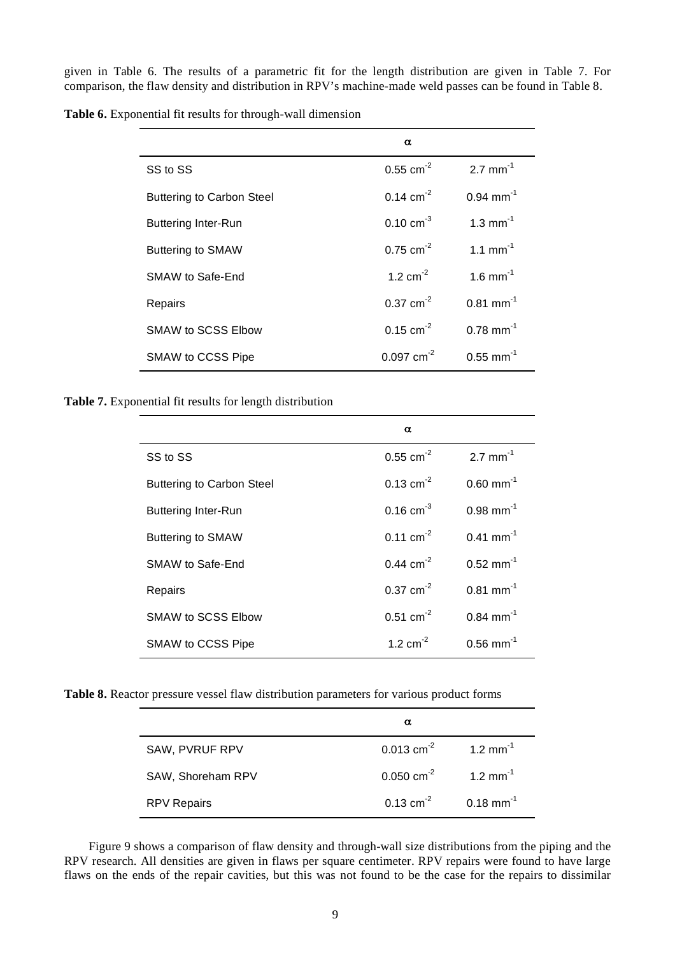given in Table 6. The results of a parametric fit for the length distribution are given in Table 7. For comparison, the flaw density and distribution in RPV's machine-made weld passes can be found in Table 8.

| Table 6. Exponential fit results for through-wall dimension |
|-------------------------------------------------------------|
|-------------------------------------------------------------|

|                            | α                        |                         |
|----------------------------|--------------------------|-------------------------|
| SS to SS                   | $0.55$ cm <sup>-2</sup>  | $2.7$ mm <sup>-1</sup>  |
| Buttering to Carbon Steel  | $0.14$ cm <sup>-2</sup>  | $0.94$ mm <sup>-1</sup> |
| <b>Buttering Inter-Run</b> | $0.10 \text{ cm}^{-3}$   | 1.3 mm <sup>-1</sup>    |
| <b>Buttering to SMAW</b>   | $0.75$ cm <sup>-2</sup>  | 1.1 mm <sup>-1</sup>    |
| SMAW to Safe-End           | 1.2 $cm^{-2}$            | $1.6 \text{ mm}^{-1}$   |
| Repairs                    | $0.37$ cm <sup>-2</sup>  | $0.81$ mm <sup>-1</sup> |
| <b>SMAW to SCSS Elbow</b>  | $0.15$ cm <sup>-2</sup>  | $0.78$ mm <sup>-1</sup> |
| SMAW to CCSS Pipe          | $0.097$ cm <sup>-2</sup> | $0.55$ mm <sup>-1</sup> |

**Table 7.** Exponential fit results for length distribution

|                                  | $\alpha$                |                         |
|----------------------------------|-------------------------|-------------------------|
| SS to SS                         | $0.55$ cm <sup>-2</sup> | $2.7$ mm <sup>-1</sup>  |
| <b>Buttering to Carbon Steel</b> | $0.13$ cm <sup>-2</sup> | $0.60$ mm <sup>-1</sup> |
| <b>Buttering Inter-Run</b>       | $0.16$ cm <sup>-3</sup> | $0.98$ mm <sup>-1</sup> |
| <b>Buttering to SMAW</b>         | $0.11$ cm <sup>-2</sup> | $0.41$ mm <sup>-1</sup> |
| SMAW to Safe-End                 | $0.44$ cm <sup>-2</sup> | $0.52$ mm <sup>-1</sup> |
| Repairs                          | $0.37$ cm <sup>-2</sup> | $0.81$ mm <sup>-1</sup> |
| <b>SMAW to SCSS Elbow</b>        | $0.51$ cm <sup>-2</sup> | $0.84$ mm <sup>-1</sup> |
| SMAW to CCSS Pipe                | 1.2 $cm^{-2}$           | $0.56$ mm <sup>-1</sup> |

**Table 8.** Reactor pressure vessel flaw distribution parameters for various product forms

|                    | α                        |                         |
|--------------------|--------------------------|-------------------------|
| SAW, PVRUF RPV     | $0.013$ cm <sup>-2</sup> | 1.2 mm <sup>-1</sup>    |
| SAW, Shoreham RPV  | $0.050$ cm <sup>-2</sup> | 1.2 mm <sup>-1</sup>    |
| <b>RPV Repairs</b> | $0.13$ cm <sup>-2</sup>  | $0.18$ mm <sup>-1</sup> |

Figure 9 shows a comparison of flaw density and through-wall size distributions from the piping and the RPV research. All densities are given in flaws per square centimeter. RPV repairs were found to have large flaws on the ends of the repair cavities, but this was not found to be the case for the repairs to dissimilar